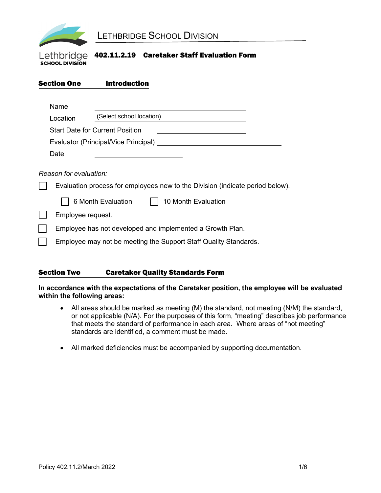

#### Lethbridge 402.11.2.19 Caretaker Staff Evaluation Form **SCHOOL DIVISION**

| <b>Section One</b> | <b>Introduction</b>                                                           |
|--------------------|-------------------------------------------------------------------------------|
| Name               |                                                                               |
| Location           | (Select school location)                                                      |
|                    | <b>Start Date for Current Position</b>                                        |
|                    | Evaluator (Principal/Vice Principal)                                          |
| Date               |                                                                               |
|                    | Reason for evaluation:                                                        |
|                    | Evaluation process for employees new to the Division (indicate period below). |
|                    | 6 Month Evaluation<br>10 Month Evaluation                                     |
|                    | Employee request.                                                             |
|                    | Employee has not developed and implemented a Growth Plan.                     |
|                    | Employee may not be meeting the Support Staff Quality Standards.              |
|                    |                                                                               |

#### Section Two Caretaker Quality Standards Form

**In accordance with the expectations of the Caretaker position, the employee will be evaluated within the following areas:** 

- All areas should be marked as meeting (M) the standard, not meeting (N/M) the standard, or not applicable (N/A). For the purposes of this form, "meeting" describes job performance that meets the standard of performance in each area. Where areas of "not meeting" standards are identified, a comment must be made.
- All marked deficiencies must be accompanied by supporting documentation.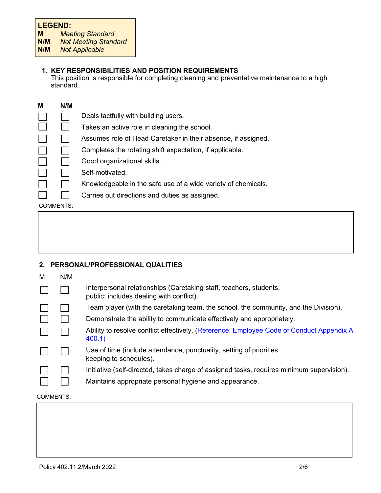# **LEGEND:**

| M | <b>Meeting Standard</b> |  |  |
|---|-------------------------|--|--|
|   |                         |  |  |

**N/M** *Not Meeting Standard*

# **1. KEY RESPONSIBILITIES AND POSITION REQUIREMENTS**

This position is responsible for completing cleaning and preventative maintenance to a high standard.

| M         | N/M |                                                               |
|-----------|-----|---------------------------------------------------------------|
|           |     | Deals tactfully with building users.                          |
|           |     | Takes an active role in cleaning the school.                  |
|           |     | Assumes role of Head Caretaker in their absence, if assigned. |
|           |     | Completes the rotating shift expectation, if applicable.      |
|           |     | Good organizational skills.                                   |
|           |     | Self-motivated.                                               |
|           |     | Knowledgeable in the safe use of a wide variety of chemicals. |
|           |     | Carries out directions and duties as assigned.                |
| COMMENTS: |     |                                                               |

# **2. PERSONAL/PROFESSIONAL QUALITIES**

| М | N/M |                                                                                                                |
|---|-----|----------------------------------------------------------------------------------------------------------------|
|   |     | Interpersonal relationships (Caretaking staff, teachers, students,<br>public; includes dealing with conflict). |
|   |     | Team player (with the caretaking team, the school, the community, and the Division).                           |
|   |     | Demonstrate the ability to communicate effectively and appropriately.                                          |
|   |     | Ability to resolve conflict effectively. (Reference: Employee Code of Conduct Appendix A<br>400.1              |
|   |     | Use of time (include attendance, punctuality, setting of priorities,<br>keeping to schedules).                 |
|   |     | Initiative (self-directed, takes charge of assigned tasks, requires minimum supervision).                      |
|   |     | Maintains appropriate personal hygiene and appearance.                                                         |

#### COMMENTS: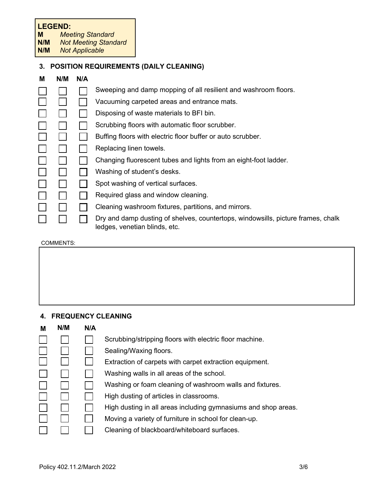# **LEGEND:**<br>M Mee

**M** *Meeting Standard*

**N/M** *Not Meeting Standard*

**Not Applicable** 

# **3. POSITION REQUIREMENTS (DAILY CLEANING)**

| M | N/M | N/A |                                                                                                                   |
|---|-----|-----|-------------------------------------------------------------------------------------------------------------------|
|   |     |     | Sweeping and damp mopping of all resilient and washroom floors.                                                   |
|   |     |     | Vacuuming carpeted areas and entrance mats.                                                                       |
|   |     |     | Disposing of waste materials to BFI bin.                                                                          |
|   |     |     | Scrubbing floors with automatic floor scrubber.                                                                   |
|   |     |     | Buffing floors with electric floor buffer or auto scrubber.                                                       |
|   |     |     | Replacing linen towels.                                                                                           |
|   |     |     | Changing fluorescent tubes and lights from an eight-foot ladder.                                                  |
|   |     |     | Washing of student's desks.                                                                                       |
|   |     |     | Spot washing of vertical surfaces.                                                                                |
|   |     |     | Required glass and window cleaning.                                                                               |
|   |     |     | Cleaning washroom fixtures, partitions, and mirrors.                                                              |
|   |     |     | Dry and damp dusting of shelves, countertops, windowsills, picture frames, chalk<br>ledges, venetian blinds, etc. |

#### COMMENTS:

# **4. FREQUENCY CLEANING**

| M | N/M | N/A |                                                                |
|---|-----|-----|----------------------------------------------------------------|
|   |     |     | Scrubbing/stripping floors with electric floor machine.        |
|   |     |     | Sealing/Waxing floors.                                         |
|   |     |     | Extraction of carpets with carpet extraction equipment.        |
|   |     |     | Washing walls in all areas of the school.                      |
|   |     |     | Washing or foam cleaning of washroom walls and fixtures.       |
|   |     |     | High dusting of articles in classrooms.                        |
|   |     |     | High dusting in all areas including gymnasiums and shop areas. |
|   |     |     | Moving a variety of furniture in school for clean-up.          |
|   |     |     | Cleaning of blackboard/whiteboard surfaces.                    |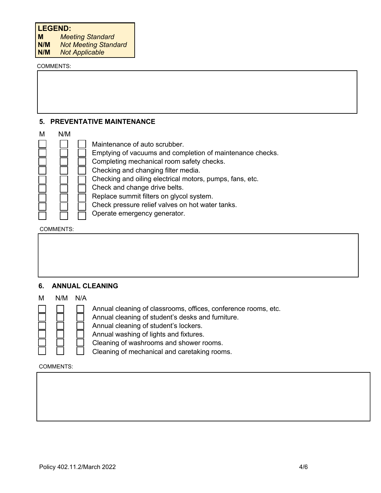**M** *Meeting Standard*

**N/M** *Not Meeting Standard*

**Not Applicable** 

#### COMMENTS:

#### **5. PREVENTATIVE MAINTENANCE**



COMMENTS:

Г

| 6. ANNUAL CLEANING |  |  |  |
|--------------------|--|--|--|
|                    |  |  |  |
|                    |  |  |  |
|                    |  |  |  |
|                    |  |  |  |
|                    |  |  |  |

# M N/M N/A

Annual cleaning of classrooms, offices, conference rooms, etc. Annual cleaning of student's desks and furniture.

Annual cleaning of student's lockers.

Annual washing of lights and fixtures.

Cleaning of washrooms and shower rooms.

Cleaning of mechanical and caretaking rooms.

#### COMMENTS: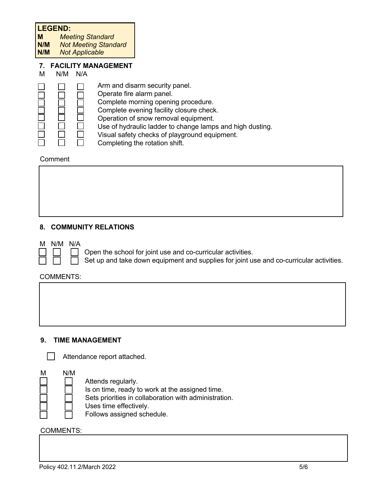#### **LEGEND:**

**M** *Meeting Standard*

**Not Meeting Standard** 

**N/M** *Not Applicable*

# **7. FACILITY MANAGEMENT**

M N/M N/A



- Arm and disarm security panel.
- Operate fire alarm panel.
- Complete morning opening procedure.
- Complete evening facility closure check.
- Operation of snow removal equipment.
	- Use of hydraulic ladder to change lamps and high dusting.
- Visual safety checks of playground equipment.
- Completing the rotation shift.

#### Comment

# **8. COMMUNITY RELATIONS**

- M N/M N/A
- 
- Open the school for joint use and co-curricular activities.
- Set up and take down equipment and supplies for joint use and co-curricular activities.

# COMMENTS:

# **9. TIME MANAGEMENT**



Attendance report attached.



#### COMMENTS: